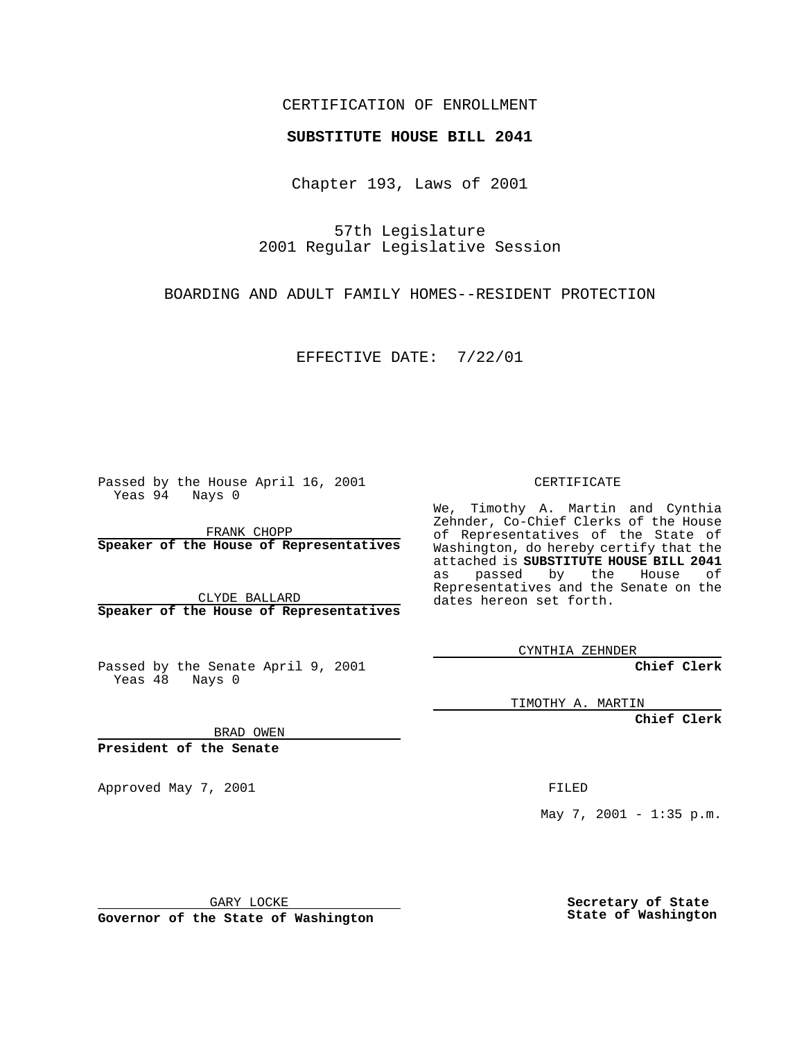## CERTIFICATION OF ENROLLMENT

## **SUBSTITUTE HOUSE BILL 2041**

Chapter 193, Laws of 2001

57th Legislature 2001 Regular Legislative Session

BOARDING AND ADULT FAMILY HOMES--RESIDENT PROTECTION

EFFECTIVE DATE: 7/22/01

Passed by the House April 16, 2001 Yeas 94 Nays 0

FRANK CHOPP **Speaker of the House of Representatives**

CLYDE BALLARD **Speaker of the House of Representatives**

Passed by the Senate April 9, 2001 Yeas  $48$  Nays 0

CERTIFICATE

We, Timothy A. Martin and Cynthia Zehnder, Co-Chief Clerks of the House of Representatives of the State of Washington, do hereby certify that the attached is **SUBSTITUTE HOUSE BILL 2041** as passed by the House of Representatives and the Senate on the dates hereon set forth.

CYNTHIA ZEHNDER

**Chief Clerk**

TIMOTHY A. MARTIN

**Chief Clerk**

BRAD OWEN

**President of the Senate**

Approved May 7, 2001 FILED

May 7, 2001 - 1:35 p.m.

GARY LOCKE

**Governor of the State of Washington**

**Secretary of State State of Washington**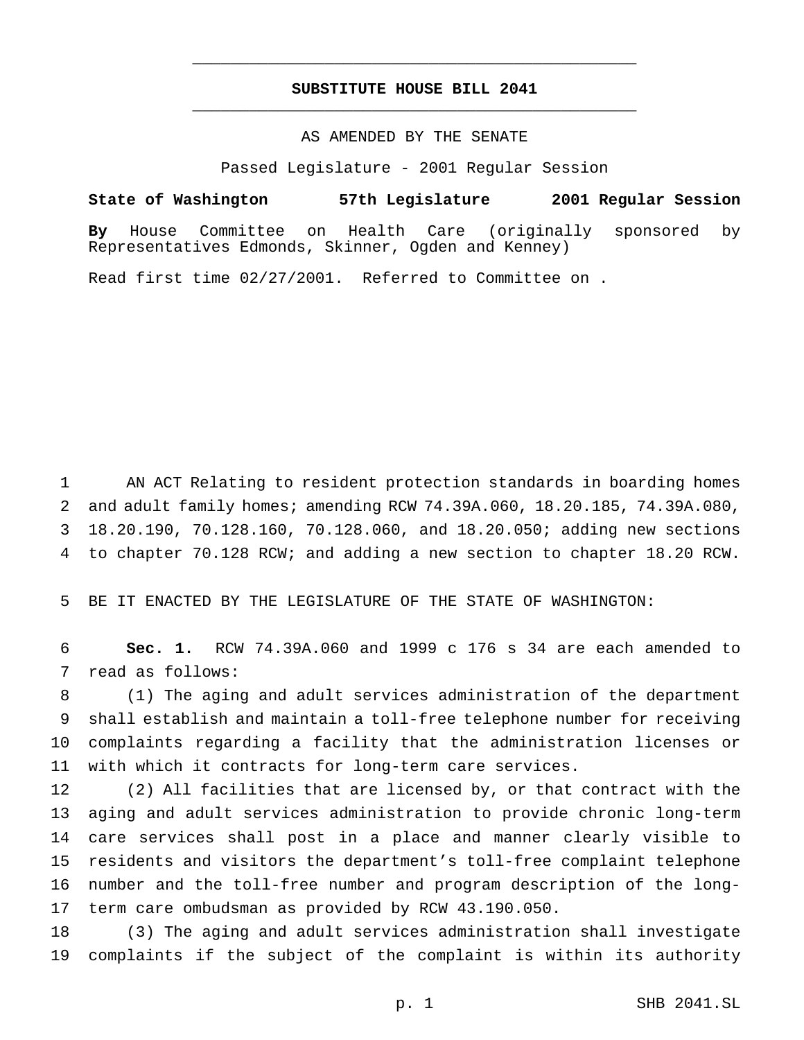## **SUBSTITUTE HOUSE BILL 2041** \_\_\_\_\_\_\_\_\_\_\_\_\_\_\_\_\_\_\_\_\_\_\_\_\_\_\_\_\_\_\_\_\_\_\_\_\_\_\_\_\_\_\_\_\_\_\_

\_\_\_\_\_\_\_\_\_\_\_\_\_\_\_\_\_\_\_\_\_\_\_\_\_\_\_\_\_\_\_\_\_\_\_\_\_\_\_\_\_\_\_\_\_\_\_

## AS AMENDED BY THE SENATE

Passed Legislature - 2001 Regular Session

**State of Washington 57th Legislature 2001 Regular Session By** House Committee on Health Care (originally sponsored by Representatives Edmonds, Skinner, Ogden and Kenney)

Read first time 02/27/2001. Referred to Committee on .

 AN ACT Relating to resident protection standards in boarding homes and adult family homes; amending RCW 74.39A.060, 18.20.185, 74.39A.080, 18.20.190, 70.128.160, 70.128.060, and 18.20.050; adding new sections to chapter 70.128 RCW; and adding a new section to chapter 18.20 RCW.

BE IT ENACTED BY THE LEGISLATURE OF THE STATE OF WASHINGTON:

 **Sec. 1.** RCW 74.39A.060 and 1999 c 176 s 34 are each amended to read as follows:

 (1) The aging and adult services administration of the department shall establish and maintain a toll-free telephone number for receiving complaints regarding a facility that the administration licenses or with which it contracts for long-term care services.

 (2) All facilities that are licensed by, or that contract with the aging and adult services administration to provide chronic long-term care services shall post in a place and manner clearly visible to residents and visitors the department's toll-free complaint telephone number and the toll-free number and program description of the long-term care ombudsman as provided by RCW 43.190.050.

 (3) The aging and adult services administration shall investigate complaints if the subject of the complaint is within its authority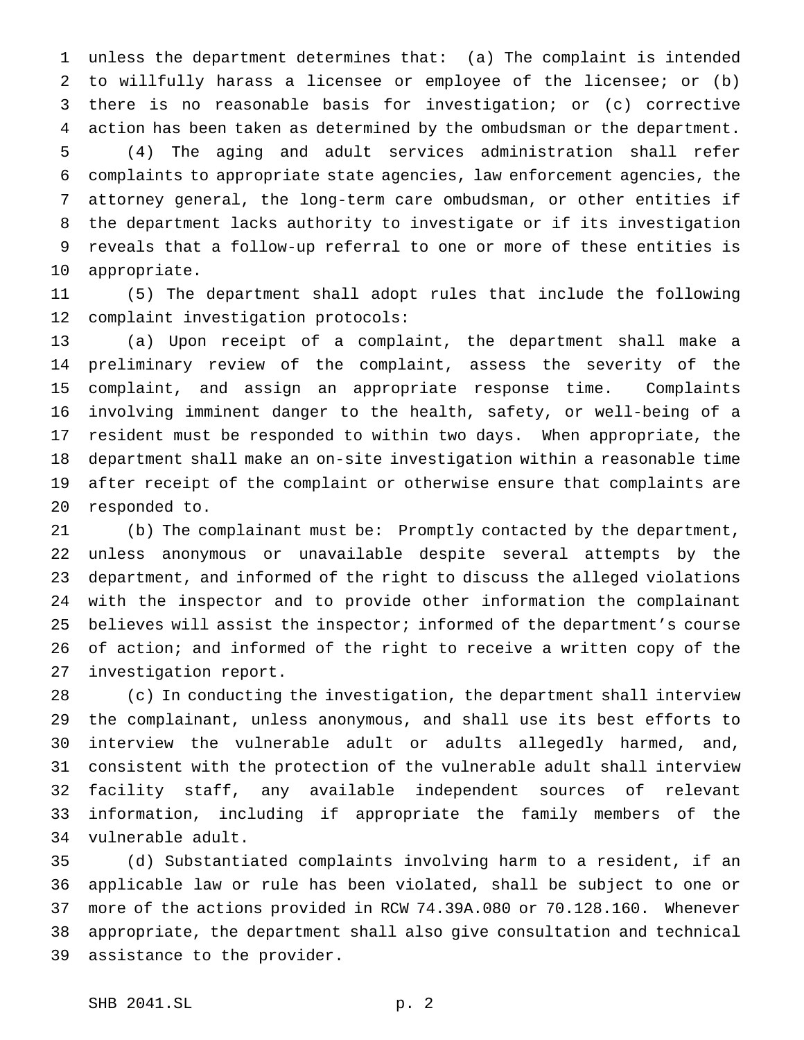unless the department determines that: (a) The complaint is intended to willfully harass a licensee or employee of the licensee; or (b) there is no reasonable basis for investigation; or (c) corrective action has been taken as determined by the ombudsman or the department. (4) The aging and adult services administration shall refer complaints to appropriate state agencies, law enforcement agencies, the attorney general, the long-term care ombudsman, or other entities if the department lacks authority to investigate or if its investigation reveals that a follow-up referral to one or more of these entities is appropriate.

 (5) The department shall adopt rules that include the following complaint investigation protocols:

 (a) Upon receipt of a complaint, the department shall make a preliminary review of the complaint, assess the severity of the complaint, and assign an appropriate response time. Complaints involving imminent danger to the health, safety, or well-being of a resident must be responded to within two days. When appropriate, the department shall make an on-site investigation within a reasonable time after receipt of the complaint or otherwise ensure that complaints are responded to.

 (b) The complainant must be: Promptly contacted by the department, unless anonymous or unavailable despite several attempts by the department, and informed of the right to discuss the alleged violations with the inspector and to provide other information the complainant believes will assist the inspector; informed of the department's course of action; and informed of the right to receive a written copy of the investigation report.

 (c) In conducting the investigation, the department shall interview the complainant, unless anonymous, and shall use its best efforts to interview the vulnerable adult or adults allegedly harmed, and, consistent with the protection of the vulnerable adult shall interview facility staff, any available independent sources of relevant information, including if appropriate the family members of the vulnerable adult.

 (d) Substantiated complaints involving harm to a resident, if an applicable law or rule has been violated, shall be subject to one or more of the actions provided in RCW 74.39A.080 or 70.128.160. Whenever appropriate, the department shall also give consultation and technical assistance to the provider.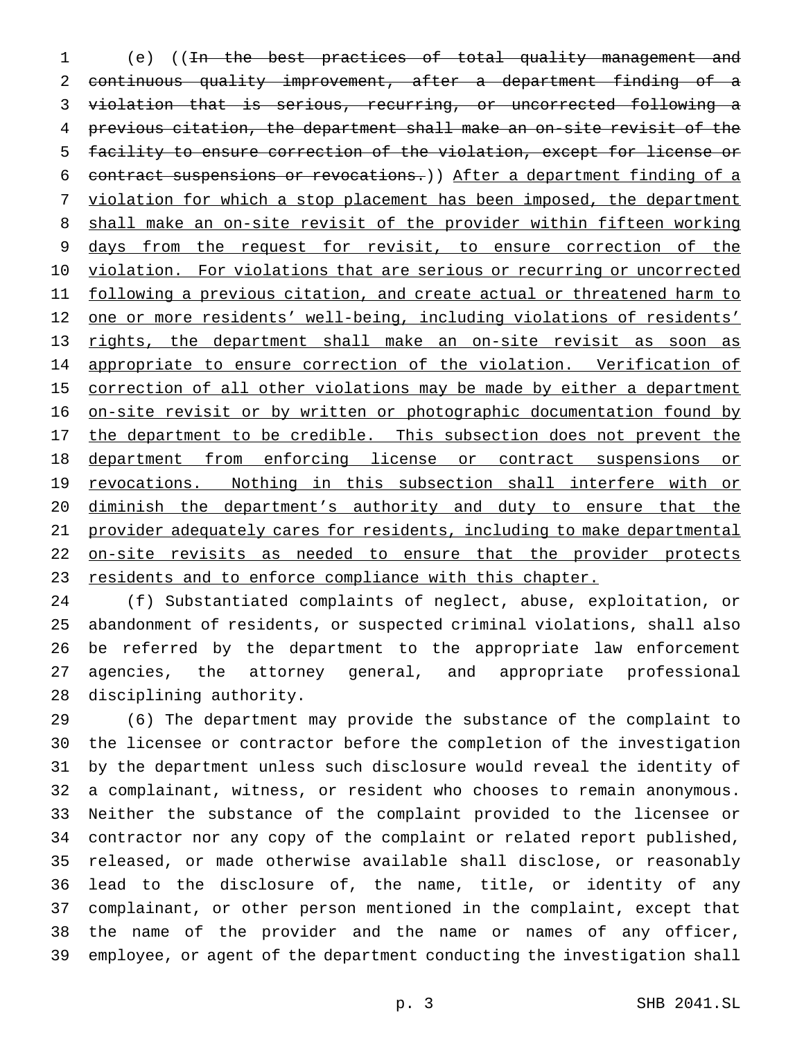(e) ((In the best practices of total quality management and continuous quality improvement, after a department finding of a violation that is serious, recurring, or uncorrected following a previous citation, the department shall make an on-site revisit of the facility to ensure correction of the violation, except for license or contract suspensions or revocations.)) After a department finding of a violation for which a stop placement has been imposed, the department 8 shall make an on-site revisit of the provider within fifteen working 9 days from the request for revisit, to ensure correction of the 10 violation. For violations that are serious or recurring or uncorrected 11 following a previous citation, and create actual or threatened harm to 12 one or more residents' well-being, including violations of residents' rights, the department shall make an on-site revisit as soon as 14 appropriate to ensure correction of the violation. Verification of 15 correction of all other violations may be made by either a department 16 on-site revisit or by written or photographic documentation found by 17 the department to be credible. This subsection does not prevent the department from enforcing license or contract suspensions or 19 revocations. Nothing in this subsection shall interfere with or diminish the department's authority and duty to ensure that the provider adequately cares for residents, including to make departmental on-site revisits as needed to ensure that the provider protects 23 residents and to enforce compliance with this chapter.

 (f) Substantiated complaints of neglect, abuse, exploitation, or abandonment of residents, or suspected criminal violations, shall also be referred by the department to the appropriate law enforcement agencies, the attorney general, and appropriate professional disciplining authority.

 (6) The department may provide the substance of the complaint to the licensee or contractor before the completion of the investigation by the department unless such disclosure would reveal the identity of a complainant, witness, or resident who chooses to remain anonymous. Neither the substance of the complaint provided to the licensee or contractor nor any copy of the complaint or related report published, released, or made otherwise available shall disclose, or reasonably lead to the disclosure of, the name, title, or identity of any complainant, or other person mentioned in the complaint, except that the name of the provider and the name or names of any officer, employee, or agent of the department conducting the investigation shall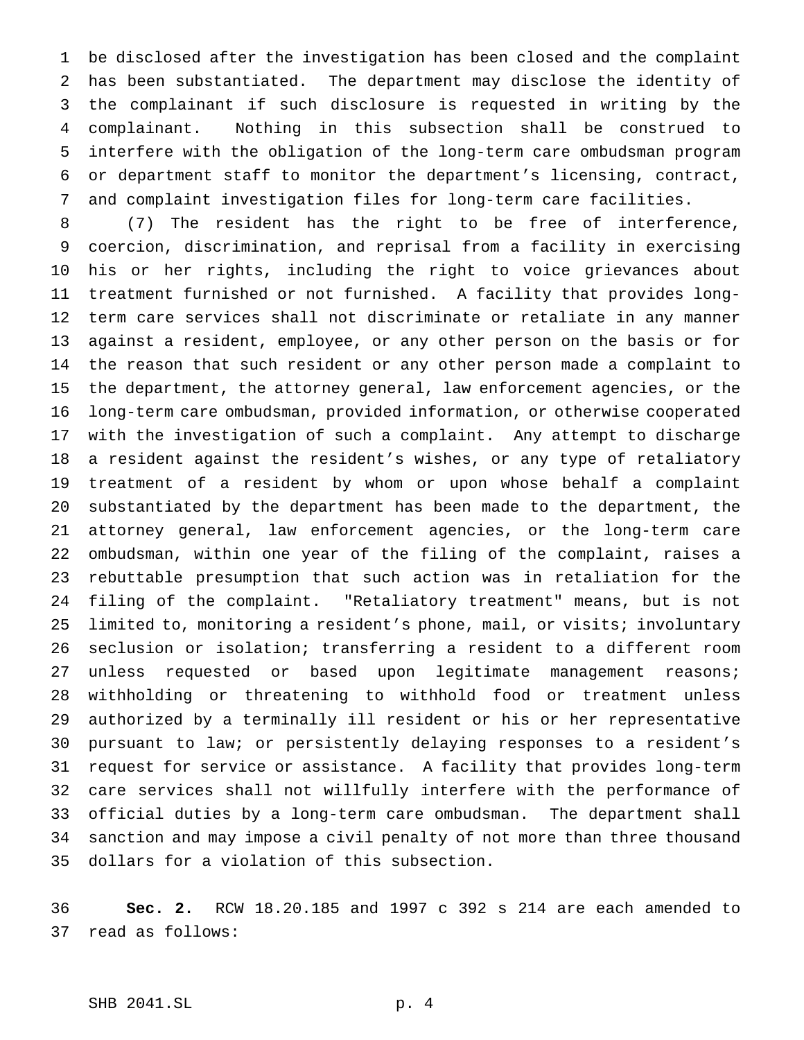be disclosed after the investigation has been closed and the complaint has been substantiated. The department may disclose the identity of the complainant if such disclosure is requested in writing by the complainant. Nothing in this subsection shall be construed to interfere with the obligation of the long-term care ombudsman program or department staff to monitor the department's licensing, contract, and complaint investigation files for long-term care facilities.

 (7) The resident has the right to be free of interference, coercion, discrimination, and reprisal from a facility in exercising his or her rights, including the right to voice grievances about treatment furnished or not furnished. A facility that provides long- term care services shall not discriminate or retaliate in any manner against a resident, employee, or any other person on the basis or for the reason that such resident or any other person made a complaint to the department, the attorney general, law enforcement agencies, or the long-term care ombudsman, provided information, or otherwise cooperated with the investigation of such a complaint. Any attempt to discharge a resident against the resident's wishes, or any type of retaliatory treatment of a resident by whom or upon whose behalf a complaint substantiated by the department has been made to the department, the attorney general, law enforcement agencies, or the long-term care ombudsman, within one year of the filing of the complaint, raises a rebuttable presumption that such action was in retaliation for the filing of the complaint. "Retaliatory treatment" means, but is not limited to, monitoring a resident's phone, mail, or visits; involuntary seclusion or isolation; transferring a resident to a different room unless requested or based upon legitimate management reasons; withholding or threatening to withhold food or treatment unless authorized by a terminally ill resident or his or her representative pursuant to law; or persistently delaying responses to a resident's request for service or assistance. A facility that provides long-term care services shall not willfully interfere with the performance of official duties by a long-term care ombudsman. The department shall sanction and may impose a civil penalty of not more than three thousand dollars for a violation of this subsection.

 **Sec. 2.** RCW 18.20.185 and 1997 c 392 s 214 are each amended to read as follows: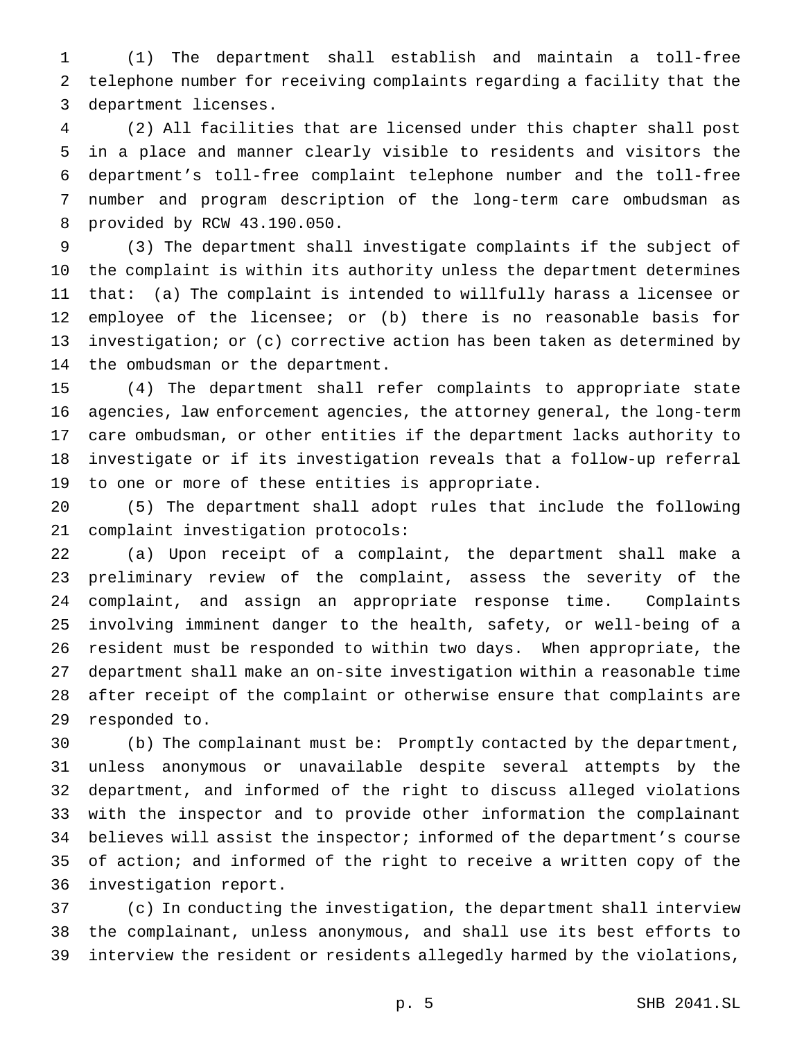(1) The department shall establish and maintain a toll-free telephone number for receiving complaints regarding a facility that the department licenses.

 (2) All facilities that are licensed under this chapter shall post in a place and manner clearly visible to residents and visitors the department's toll-free complaint telephone number and the toll-free number and program description of the long-term care ombudsman as provided by RCW 43.190.050.

 (3) The department shall investigate complaints if the subject of the complaint is within its authority unless the department determines that: (a) The complaint is intended to willfully harass a licensee or 12 employee of the licensee; or (b) there is no reasonable basis for investigation; or (c) corrective action has been taken as determined by the ombudsman or the department.

 (4) The department shall refer complaints to appropriate state agencies, law enforcement agencies, the attorney general, the long-term care ombudsman, or other entities if the department lacks authority to investigate or if its investigation reveals that a follow-up referral to one or more of these entities is appropriate.

 (5) The department shall adopt rules that include the following complaint investigation protocols:

 (a) Upon receipt of a complaint, the department shall make a preliminary review of the complaint, assess the severity of the complaint, and assign an appropriate response time. Complaints involving imminent danger to the health, safety, or well-being of a resident must be responded to within two days. When appropriate, the department shall make an on-site investigation within a reasonable time after receipt of the complaint or otherwise ensure that complaints are responded to.

 (b) The complainant must be: Promptly contacted by the department, unless anonymous or unavailable despite several attempts by the department, and informed of the right to discuss alleged violations with the inspector and to provide other information the complainant believes will assist the inspector; informed of the department's course of action; and informed of the right to receive a written copy of the investigation report.

 (c) In conducting the investigation, the department shall interview the complainant, unless anonymous, and shall use its best efforts to interview the resident or residents allegedly harmed by the violations,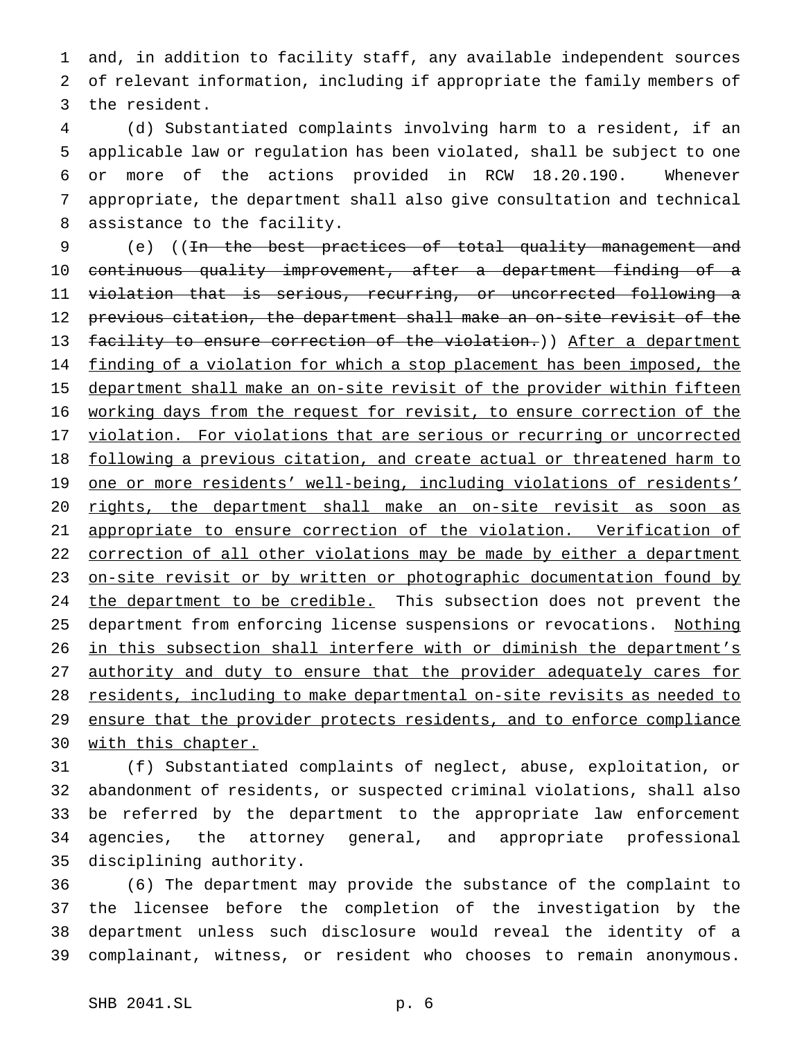1 and, in addition to facility staff, any available independent sources 2 of relevant information, including if appropriate the family members of 3 the resident.

 (d) Substantiated complaints involving harm to a resident, if an applicable law or regulation has been violated, shall be subject to one or more of the actions provided in RCW 18.20.190. Whenever appropriate, the department shall also give consultation and technical assistance to the facility.

9 (e) ((In the best practices of total quality management and 10 continuous quality improvement, after a department finding of a 11 violation that is serious, recurring, or uncorrected following a 12 previous citation, the department shall make an on-site revisit of the 13 facility to ensure correction of the violation.)) After a department 14 finding of a violation for which a stop placement has been imposed, the 15 department shall make an on-site revisit of the provider within fifteen 16 working days from the request for revisit, to ensure correction of the 17 violation. For violations that are serious or recurring or uncorrected 18 following a previous citation, and create actual or threatened harm to 19 one or more residents' well-being, including violations of residents' 20 rights, the department shall make an on-site revisit as soon as 21 appropriate to ensure correction of the violation. Verification of 22 correction of all other violations may be made by either a department 23 on-site revisit or by written or photographic documentation found by 24 the department to be credible. This subsection does not prevent the 25 department from enforcing license suspensions or revocations. Nothing 26 in this subsection shall interfere with or diminish the department's 27 authority and duty to ensure that the provider adequately cares for 28 residents, including to make departmental on-site revisits as needed to 29 ensure that the provider protects residents, and to enforce compliance 30 with this chapter.

 (f) Substantiated complaints of neglect, abuse, exploitation, or abandonment of residents, or suspected criminal violations, shall also be referred by the department to the appropriate law enforcement agencies, the attorney general, and appropriate professional disciplining authority.

 (6) The department may provide the substance of the complaint to the licensee before the completion of the investigation by the department unless such disclosure would reveal the identity of a complainant, witness, or resident who chooses to remain anonymous.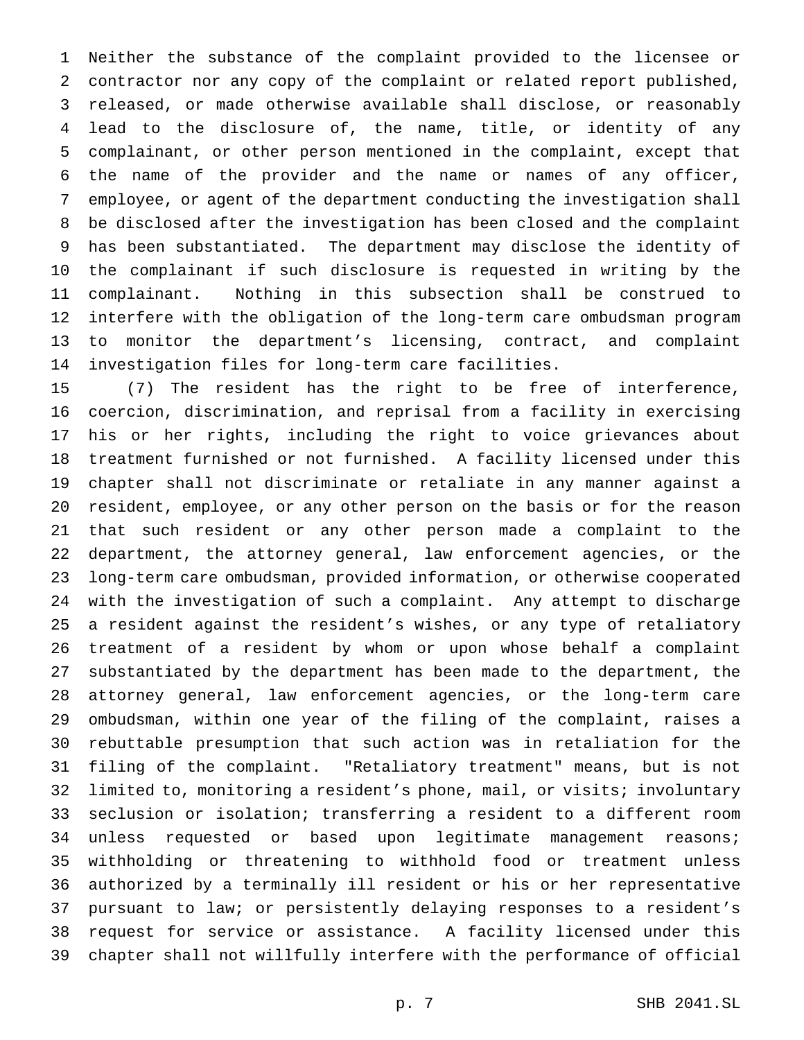Neither the substance of the complaint provided to the licensee or contractor nor any copy of the complaint or related report published, released, or made otherwise available shall disclose, or reasonably lead to the disclosure of, the name, title, or identity of any complainant, or other person mentioned in the complaint, except that the name of the provider and the name or names of any officer, employee, or agent of the department conducting the investigation shall be disclosed after the investigation has been closed and the complaint has been substantiated. The department may disclose the identity of the complainant if such disclosure is requested in writing by the complainant. Nothing in this subsection shall be construed to interfere with the obligation of the long-term care ombudsman program to monitor the department's licensing, contract, and complaint investigation files for long-term care facilities.

 (7) The resident has the right to be free of interference, coercion, discrimination, and reprisal from a facility in exercising his or her rights, including the right to voice grievances about treatment furnished or not furnished. A facility licensed under this chapter shall not discriminate or retaliate in any manner against a resident, employee, or any other person on the basis or for the reason that such resident or any other person made a complaint to the department, the attorney general, law enforcement agencies, or the long-term care ombudsman, provided information, or otherwise cooperated with the investigation of such a complaint. Any attempt to discharge a resident against the resident's wishes, or any type of retaliatory treatment of a resident by whom or upon whose behalf a complaint substantiated by the department has been made to the department, the attorney general, law enforcement agencies, or the long-term care ombudsman, within one year of the filing of the complaint, raises a rebuttable presumption that such action was in retaliation for the filing of the complaint. "Retaliatory treatment" means, but is not limited to, monitoring a resident's phone, mail, or visits; involuntary seclusion or isolation; transferring a resident to a different room unless requested or based upon legitimate management reasons; withholding or threatening to withhold food or treatment unless authorized by a terminally ill resident or his or her representative pursuant to law; or persistently delaying responses to a resident's request for service or assistance. A facility licensed under this chapter shall not willfully interfere with the performance of official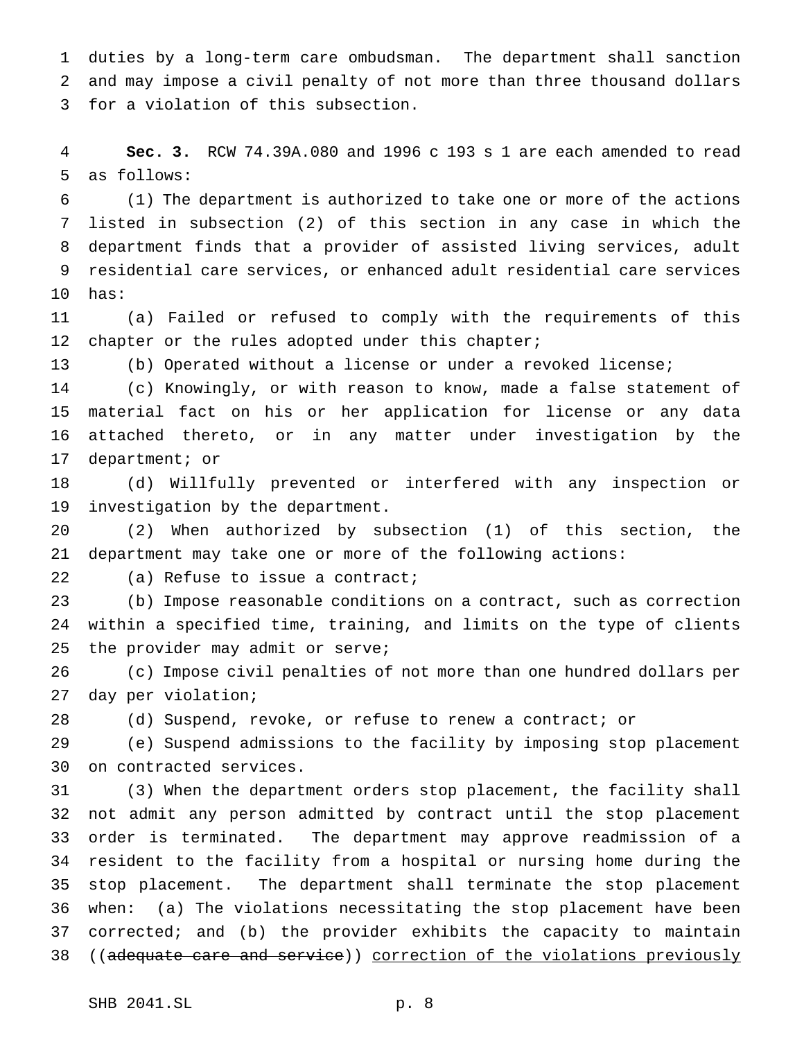duties by a long-term care ombudsman. The department shall sanction and may impose a civil penalty of not more than three thousand dollars for a violation of this subsection.

 **Sec. 3.** RCW 74.39A.080 and 1996 c 193 s 1 are each amended to read as follows:

 (1) The department is authorized to take one or more of the actions listed in subsection (2) of this section in any case in which the department finds that a provider of assisted living services, adult residential care services, or enhanced adult residential care services has:

 (a) Failed or refused to comply with the requirements of this 12 chapter or the rules adopted under this chapter;

(b) Operated without a license or under a revoked license;

 (c) Knowingly, or with reason to know, made a false statement of material fact on his or her application for license or any data attached thereto, or in any matter under investigation by the department; or

 (d) Willfully prevented or interfered with any inspection or investigation by the department.

 (2) When authorized by subsection (1) of this section, the department may take one or more of the following actions:

22 (a) Refuse to issue a contract;

 (b) Impose reasonable conditions on a contract, such as correction within a specified time, training, and limits on the type of clients the provider may admit or serve;

 (c) Impose civil penalties of not more than one hundred dollars per day per violation;

(d) Suspend, revoke, or refuse to renew a contract; or

 (e) Suspend admissions to the facility by imposing stop placement on contracted services.

 (3) When the department orders stop placement, the facility shall not admit any person admitted by contract until the stop placement order is terminated. The department may approve readmission of a resident to the facility from a hospital or nursing home during the stop placement. The department shall terminate the stop placement when: (a) The violations necessitating the stop placement have been corrected; and (b) the provider exhibits the capacity to maintain ((adequate care and service)) correction of the violations previously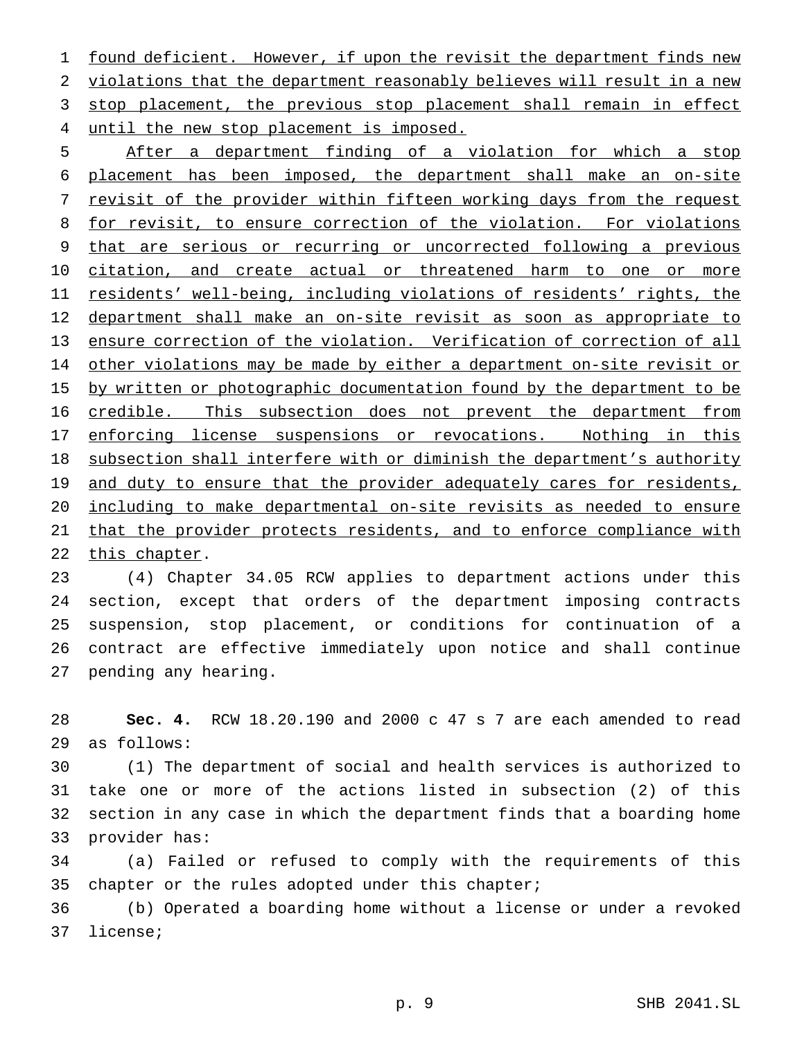1 found deficient. However, if upon the revisit the department finds new 2 violations that the department reasonably believes will result in a new 3 stop placement, the previous stop placement shall remain in effect 4 until the new stop placement is imposed.

5 After a department finding of a violation for which a stop 6 placement has been imposed, the department shall make an on-site 7 revisit of the provider within fifteen working days from the request 8 for revisit, to ensure correction of the violation. For violations 9 that are serious or recurring or uncorrected following a previous 10 citation, and create actual or threatened harm to one or more 11 residents' well-being, including violations of residents' rights, the 12 department shall make an on-site revisit as soon as appropriate to 13 ensure correction of the violation. Verification of correction of all 14 other violations may be made by either a department on-site revisit or 15 by written or photographic documentation found by the department to be 16 credible. This subsection does not prevent the department from 17 enforcing license suspensions or revocations. Nothing in this 18 subsection shall interfere with or diminish the department's authority 19 and duty to ensure that the provider adequately cares for residents, 20 including to make departmental on-site revisits as needed to ensure 21 that the provider protects residents, and to enforce compliance with 22 this chapter.

 (4) Chapter 34.05 RCW applies to department actions under this section, except that orders of the department imposing contracts suspension, stop placement, or conditions for continuation of a contract are effective immediately upon notice and shall continue pending any hearing.

28 **Sec. 4.** RCW 18.20.190 and 2000 c 47 s 7 are each amended to read 29 as follows:

 (1) The department of social and health services is authorized to take one or more of the actions listed in subsection (2) of this section in any case in which the department finds that a boarding home provider has:

34 (a) Failed or refused to comply with the requirements of this 35 chapter or the rules adopted under this chapter;

36 (b) Operated a boarding home without a license or under a revoked 37 license;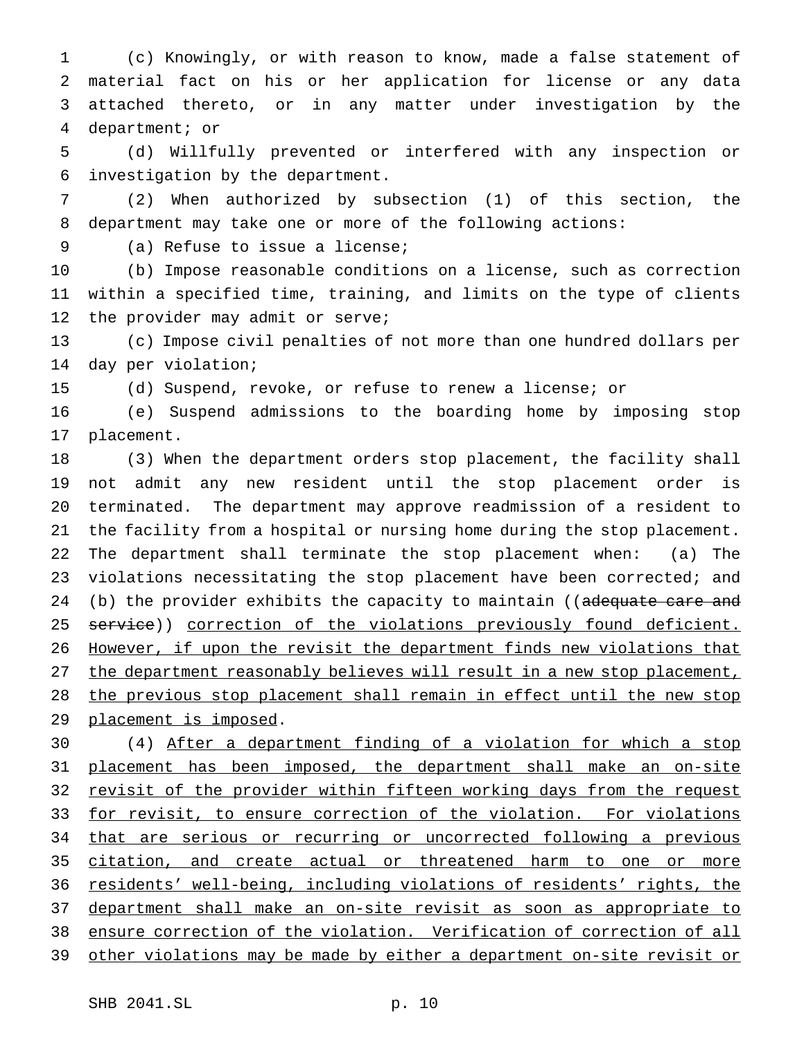(c) Knowingly, or with reason to know, made a false statement of material fact on his or her application for license or any data attached thereto, or in any matter under investigation by the department; or

 (d) Willfully prevented or interfered with any inspection or investigation by the department.

 (2) When authorized by subsection (1) of this section, the department may take one or more of the following actions:

(a) Refuse to issue a license;

 (b) Impose reasonable conditions on a license, such as correction within a specified time, training, and limits on the type of clients the provider may admit or serve;

 (c) Impose civil penalties of not more than one hundred dollars per day per violation;

(d) Suspend, revoke, or refuse to renew a license; or

 (e) Suspend admissions to the boarding home by imposing stop placement.

 (3) When the department orders stop placement, the facility shall not admit any new resident until the stop placement order is terminated. The department may approve readmission of a resident to the facility from a hospital or nursing home during the stop placement. The department shall terminate the stop placement when: (a) The violations necessitating the stop placement have been corrected; and 24 (b) the provider exhibits the capacity to maintain ((adequate care and 25 service)) correction of the violations previously found deficient. However, if upon the revisit the department finds new violations that the department reasonably believes will result in a new stop placement, 28 the previous stop placement shall remain in effect until the new stop 29 placement is imposed.

 (4) After a department finding of a violation for which a stop placement has been imposed, the department shall make an on-site 32 revisit of the provider within fifteen working days from the request 33 for revisit, to ensure correction of the violation. For violations 34 that are serious or recurring or uncorrected following a previous citation, and create actual or threatened harm to one or more residents' well-being, including violations of residents' rights, the department shall make an on-site revisit as soon as appropriate to ensure correction of the violation. Verification of correction of all other violations may be made by either a department on-site revisit or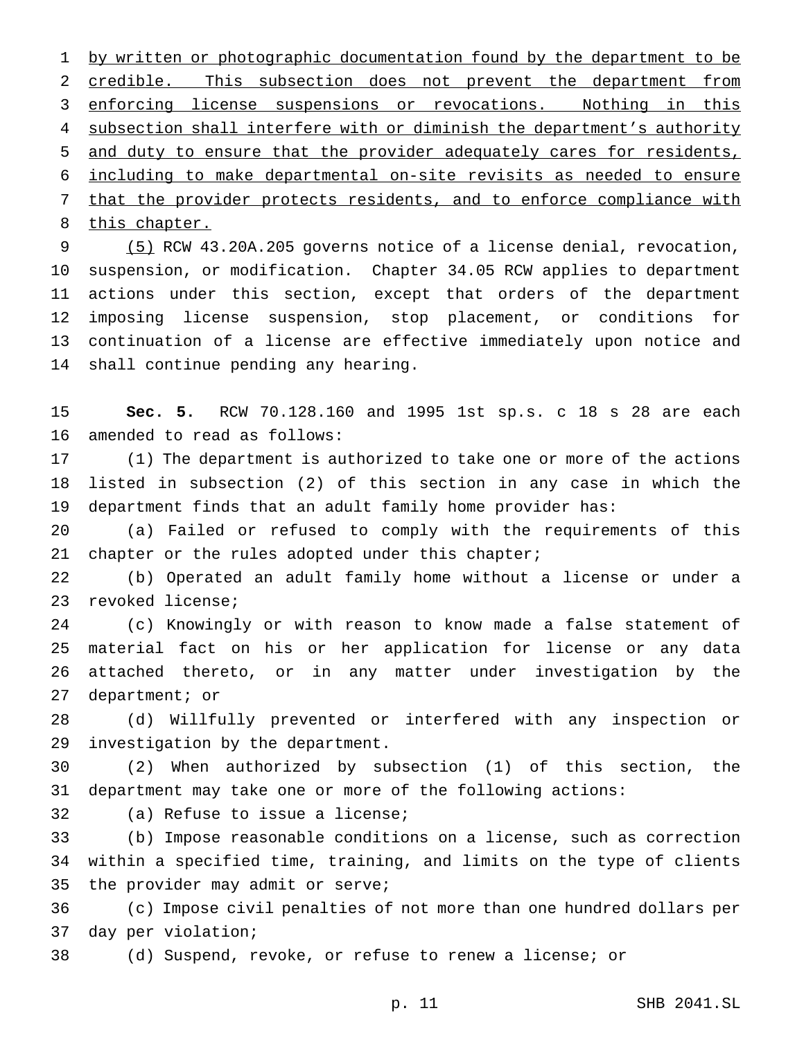1 by written or photographic documentation found by the department to be credible. This subsection does not prevent the department from enforcing license suspensions or revocations. Nothing in this 4 subsection shall interfere with or diminish the department's authority and duty to ensure that the provider adequately cares for residents, including to make departmental on-site revisits as needed to ensure that the provider protects residents, and to enforce compliance with 8 this chapter.

 (5) RCW 43.20A.205 governs notice of a license denial, revocation, suspension, or modification. Chapter 34.05 RCW applies to department actions under this section, except that orders of the department imposing license suspension, stop placement, or conditions for continuation of a license are effective immediately upon notice and shall continue pending any hearing.

 **Sec. 5.** RCW 70.128.160 and 1995 1st sp.s. c 18 s 28 are each amended to read as follows:

 (1) The department is authorized to take one or more of the actions listed in subsection (2) of this section in any case in which the department finds that an adult family home provider has:

 (a) Failed or refused to comply with the requirements of this 21 chapter or the rules adopted under this chapter;

 (b) Operated an adult family home without a license or under a revoked license;

 (c) Knowingly or with reason to know made a false statement of material fact on his or her application for license or any data attached thereto, or in any matter under investigation by the department; or

 (d) Willfully prevented or interfered with any inspection or investigation by the department.

 (2) When authorized by subsection (1) of this section, the department may take one or more of the following actions:

(a) Refuse to issue a license;

 (b) Impose reasonable conditions on a license, such as correction within a specified time, training, and limits on the type of clients the provider may admit or serve;

 (c) Impose civil penalties of not more than one hundred dollars per day per violation;

(d) Suspend, revoke, or refuse to renew a license; or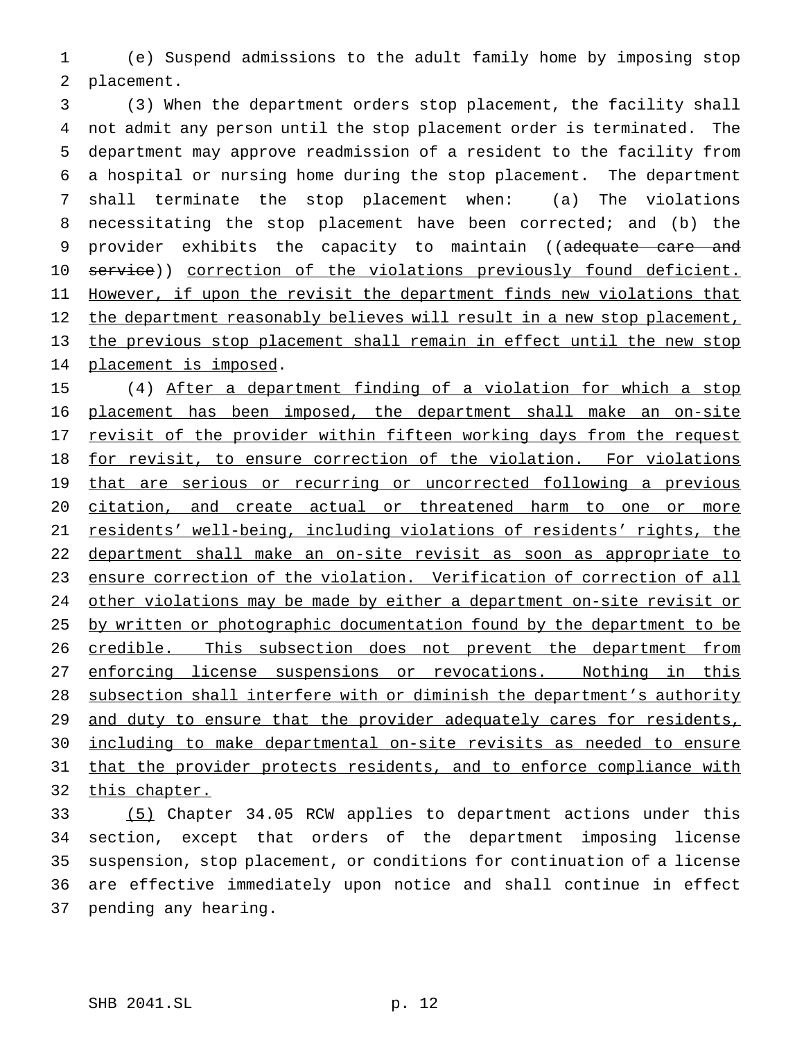(e) Suspend admissions to the adult family home by imposing stop placement.

 (3) When the department orders stop placement, the facility shall not admit any person until the stop placement order is terminated. The department may approve readmission of a resident to the facility from a hospital or nursing home during the stop placement. The department shall terminate the stop placement when: (a) The violations necessitating the stop placement have been corrected; and (b) the 9 provider exhibits the capacity to maintain ((adequate care and 10 service)) correction of the violations previously found deficient. 11 However, if upon the revisit the department finds new violations that 12 the department reasonably believes will result in a new stop placement, the previous stop placement shall remain in effect until the new stop 14 placement is imposed.

 (4) After a department finding of a violation for which a stop placement has been imposed, the department shall make an on-site 17 revisit of the provider within fifteen working days from the request 18 for revisit, to ensure correction of the violation. For violations 19 that are serious or recurring or uncorrected following a previous citation, and create actual or threatened harm to one or more residents' well-being, including violations of residents' rights, the department shall make an on-site revisit as soon as appropriate to ensure correction of the violation. Verification of correction of all other violations may be made by either a department on-site revisit or 25 by written or photographic documentation found by the department to be 26 credible. This subsection does not prevent the department from 27 enforcing license suspensions or revocations. Nothing in this subsection shall interfere with or diminish the department's authority 29 and duty to ensure that the provider adequately cares for residents, including to make departmental on-site revisits as needed to ensure 31 that the provider protects residents, and to enforce compliance with this chapter.

 (5) Chapter 34.05 RCW applies to department actions under this section, except that orders of the department imposing license suspension, stop placement, or conditions for continuation of a license are effective immediately upon notice and shall continue in effect pending any hearing.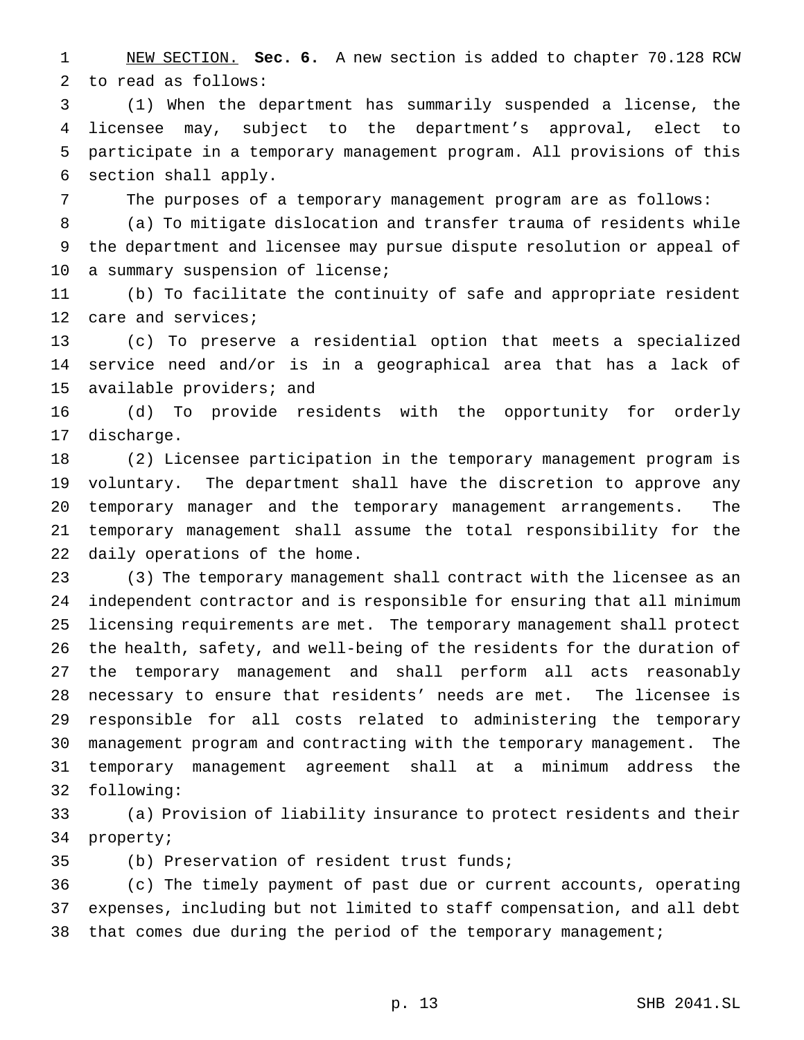NEW SECTION. **Sec. 6.** A new section is added to chapter 70.128 RCW to read as follows:

 (1) When the department has summarily suspended a license, the licensee may, subject to the department's approval, elect to participate in a temporary management program. All provisions of this section shall apply.

The purposes of a temporary management program are as follows:

 (a) To mitigate dislocation and transfer trauma of residents while the department and licensee may pursue dispute resolution or appeal of 10 a summary suspension of license;

 (b) To facilitate the continuity of safe and appropriate resident care and services;

 (c) To preserve a residential option that meets a specialized service need and/or is in a geographical area that has a lack of available providers; and

 (d) To provide residents with the opportunity for orderly discharge.

 (2) Licensee participation in the temporary management program is voluntary. The department shall have the discretion to approve any temporary manager and the temporary management arrangements. The temporary management shall assume the total responsibility for the daily operations of the home.

 (3) The temporary management shall contract with the licensee as an independent contractor and is responsible for ensuring that all minimum licensing requirements are met. The temporary management shall protect the health, safety, and well-being of the residents for the duration of the temporary management and shall perform all acts reasonably necessary to ensure that residents' needs are met. The licensee is responsible for all costs related to administering the temporary management program and contracting with the temporary management. The temporary management agreement shall at a minimum address the following:

 (a) Provision of liability insurance to protect residents and their property;

(b) Preservation of resident trust funds;

 (c) The timely payment of past due or current accounts, operating expenses, including but not limited to staff compensation, and all debt 38 that comes due during the period of the temporary management;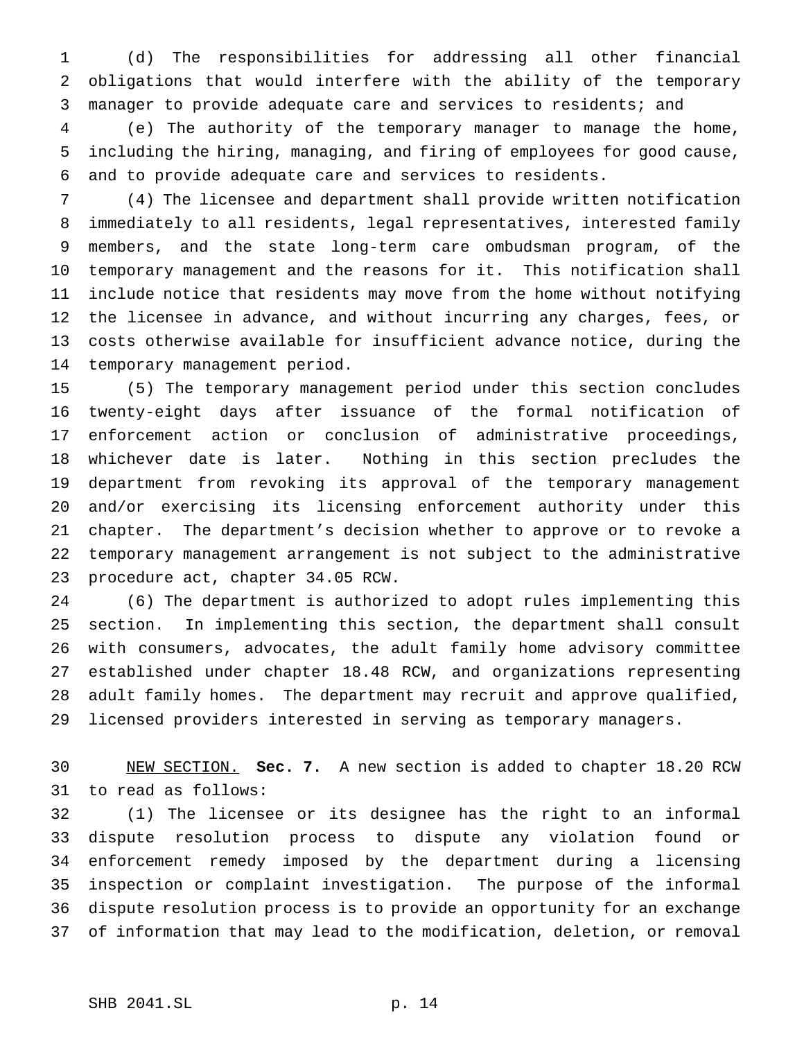(d) The responsibilities for addressing all other financial obligations that would interfere with the ability of the temporary manager to provide adequate care and services to residents; and

 (e) The authority of the temporary manager to manage the home, including the hiring, managing, and firing of employees for good cause, and to provide adequate care and services to residents.

 (4) The licensee and department shall provide written notification immediately to all residents, legal representatives, interested family members, and the state long-term care ombudsman program, of the temporary management and the reasons for it. This notification shall include notice that residents may move from the home without notifying the licensee in advance, and without incurring any charges, fees, or costs otherwise available for insufficient advance notice, during the temporary management period.

 (5) The temporary management period under this section concludes twenty-eight days after issuance of the formal notification of enforcement action or conclusion of administrative proceedings, whichever date is later. Nothing in this section precludes the department from revoking its approval of the temporary management and/or exercising its licensing enforcement authority under this chapter. The department's decision whether to approve or to revoke a temporary management arrangement is not subject to the administrative procedure act, chapter 34.05 RCW.

 (6) The department is authorized to adopt rules implementing this section. In implementing this section, the department shall consult with consumers, advocates, the adult family home advisory committee established under chapter 18.48 RCW, and organizations representing adult family homes. The department may recruit and approve qualified, licensed providers interested in serving as temporary managers.

 NEW SECTION. **Sec. 7.** A new section is added to chapter 18.20 RCW to read as follows:

 (1) The licensee or its designee has the right to an informal dispute resolution process to dispute any violation found or enforcement remedy imposed by the department during a licensing inspection or complaint investigation. The purpose of the informal dispute resolution process is to provide an opportunity for an exchange of information that may lead to the modification, deletion, or removal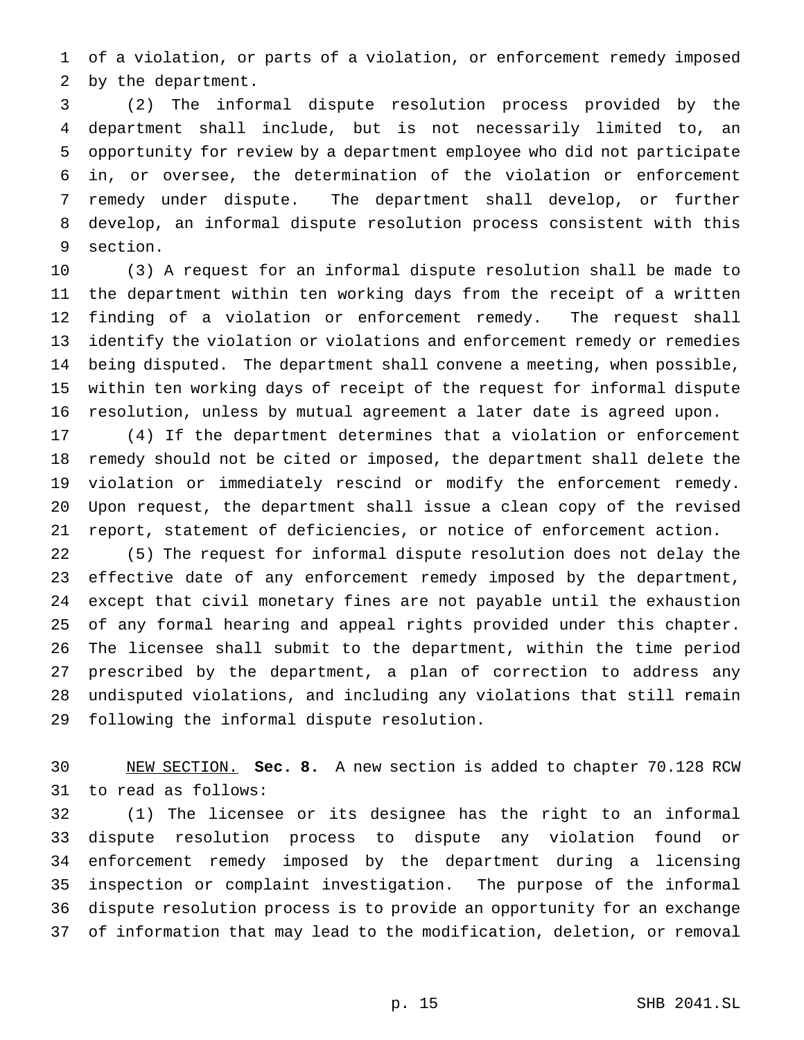of a violation, or parts of a violation, or enforcement remedy imposed by the department.

 (2) The informal dispute resolution process provided by the department shall include, but is not necessarily limited to, an opportunity for review by a department employee who did not participate in, or oversee, the determination of the violation or enforcement remedy under dispute. The department shall develop, or further develop, an informal dispute resolution process consistent with this section.

 (3) A request for an informal dispute resolution shall be made to the department within ten working days from the receipt of a written finding of a violation or enforcement remedy. The request shall identify the violation or violations and enforcement remedy or remedies being disputed. The department shall convene a meeting, when possible, within ten working days of receipt of the request for informal dispute resolution, unless by mutual agreement a later date is agreed upon.

 (4) If the department determines that a violation or enforcement remedy should not be cited or imposed, the department shall delete the violation or immediately rescind or modify the enforcement remedy. Upon request, the department shall issue a clean copy of the revised report, statement of deficiencies, or notice of enforcement action.

 (5) The request for informal dispute resolution does not delay the effective date of any enforcement remedy imposed by the department, except that civil monetary fines are not payable until the exhaustion of any formal hearing and appeal rights provided under this chapter. The licensee shall submit to the department, within the time period prescribed by the department, a plan of correction to address any undisputed violations, and including any violations that still remain following the informal dispute resolution.

 NEW SECTION. **Sec. 8.** A new section is added to chapter 70.128 RCW to read as follows:

 (1) The licensee or its designee has the right to an informal dispute resolution process to dispute any violation found or enforcement remedy imposed by the department during a licensing inspection or complaint investigation. The purpose of the informal dispute resolution process is to provide an opportunity for an exchange of information that may lead to the modification, deletion, or removal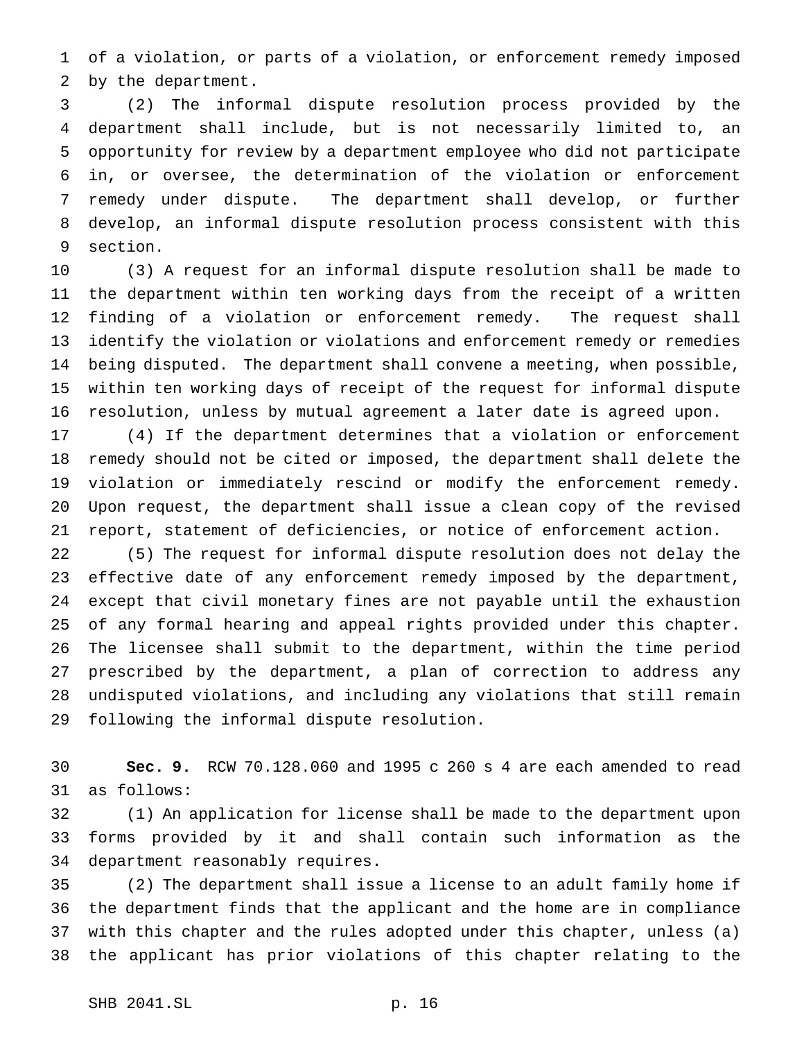of a violation, or parts of a violation, or enforcement remedy imposed by the department.

 (2) The informal dispute resolution process provided by the department shall include, but is not necessarily limited to, an opportunity for review by a department employee who did not participate in, or oversee, the determination of the violation or enforcement remedy under dispute. The department shall develop, or further develop, an informal dispute resolution process consistent with this section.

 (3) A request for an informal dispute resolution shall be made to the department within ten working days from the receipt of a written finding of a violation or enforcement remedy. The request shall identify the violation or violations and enforcement remedy or remedies being disputed. The department shall convene a meeting, when possible, within ten working days of receipt of the request for informal dispute resolution, unless by mutual agreement a later date is agreed upon.

 (4) If the department determines that a violation or enforcement remedy should not be cited or imposed, the department shall delete the violation or immediately rescind or modify the enforcement remedy. Upon request, the department shall issue a clean copy of the revised report, statement of deficiencies, or notice of enforcement action.

 (5) The request for informal dispute resolution does not delay the effective date of any enforcement remedy imposed by the department, except that civil monetary fines are not payable until the exhaustion of any formal hearing and appeal rights provided under this chapter. The licensee shall submit to the department, within the time period prescribed by the department, a plan of correction to address any undisputed violations, and including any violations that still remain following the informal dispute resolution.

 **Sec. 9.** RCW 70.128.060 and 1995 c 260 s 4 are each amended to read as follows:

 (1) An application for license shall be made to the department upon forms provided by it and shall contain such information as the department reasonably requires.

 (2) The department shall issue a license to an adult family home if the department finds that the applicant and the home are in compliance with this chapter and the rules adopted under this chapter, unless (a) the applicant has prior violations of this chapter relating to the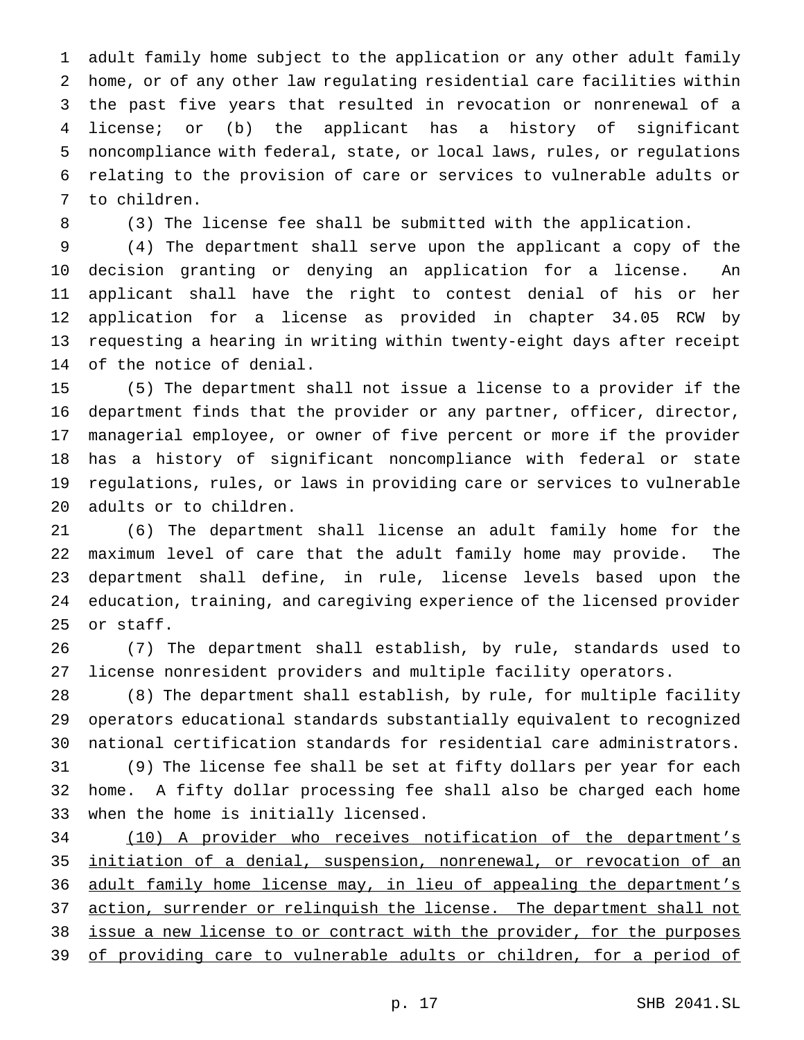adult family home subject to the application or any other adult family home, or of any other law regulating residential care facilities within the past five years that resulted in revocation or nonrenewal of a license; or (b) the applicant has a history of significant noncompliance with federal, state, or local laws, rules, or regulations relating to the provision of care or services to vulnerable adults or to children.

(3) The license fee shall be submitted with the application.

 (4) The department shall serve upon the applicant a copy of the decision granting or denying an application for a license. An applicant shall have the right to contest denial of his or her application for a license as provided in chapter 34.05 RCW by requesting a hearing in writing within twenty-eight days after receipt of the notice of denial.

 (5) The department shall not issue a license to a provider if the department finds that the provider or any partner, officer, director, managerial employee, or owner of five percent or more if the provider has a history of significant noncompliance with federal or state regulations, rules, or laws in providing care or services to vulnerable adults or to children.

 (6) The department shall license an adult family home for the maximum level of care that the adult family home may provide. The department shall define, in rule, license levels based upon the education, training, and caregiving experience of the licensed provider or staff.

 (7) The department shall establish, by rule, standards used to license nonresident providers and multiple facility operators.

 (8) The department shall establish, by rule, for multiple facility operators educational standards substantially equivalent to recognized national certification standards for residential care administrators.

 (9) The license fee shall be set at fifty dollars per year for each home. A fifty dollar processing fee shall also be charged each home when the home is initially licensed.

 (10) A provider who receives notification of the department's initiation of a denial, suspension, nonrenewal, or revocation of an adult family home license may, in lieu of appealing the department's 37 action, surrender or relinquish the license. The department shall not issue a new license to or contract with the provider, for the purposes 39 of providing care to vulnerable adults or children, for a period of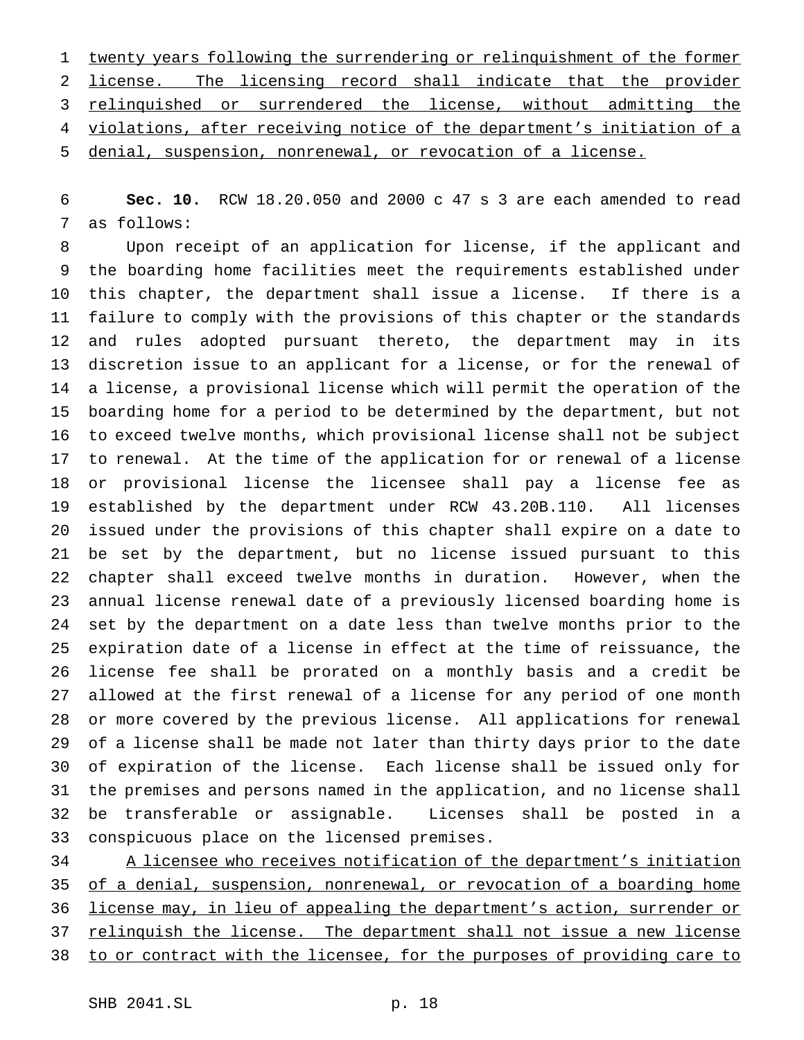twenty years following the surrendering or relinquishment of the former license. The licensing record shall indicate that the provider relinquished or surrendered the license, without admitting the violations, after receiving notice of the department's initiation of a denial, suspension, nonrenewal, or revocation of a license.

 **Sec. 10.** RCW 18.20.050 and 2000 c 47 s 3 are each amended to read as follows:

 Upon receipt of an application for license, if the applicant and the boarding home facilities meet the requirements established under this chapter, the department shall issue a license. If there is a failure to comply with the provisions of this chapter or the standards and rules adopted pursuant thereto, the department may in its discretion issue to an applicant for a license, or for the renewal of a license, a provisional license which will permit the operation of the boarding home for a period to be determined by the department, but not to exceed twelve months, which provisional license shall not be subject to renewal. At the time of the application for or renewal of a license or provisional license the licensee shall pay a license fee as established by the department under RCW 43.20B.110. All licenses issued under the provisions of this chapter shall expire on a date to be set by the department, but no license issued pursuant to this chapter shall exceed twelve months in duration. However, when the annual license renewal date of a previously licensed boarding home is set by the department on a date less than twelve months prior to the expiration date of a license in effect at the time of reissuance, the license fee shall be prorated on a monthly basis and a credit be allowed at the first renewal of a license for any period of one month or more covered by the previous license. All applications for renewal of a license shall be made not later than thirty days prior to the date of expiration of the license. Each license shall be issued only for the premises and persons named in the application, and no license shall be transferable or assignable. Licenses shall be posted in a conspicuous place on the licensed premises.

 A licensee who receives notification of the department's initiation 35 of a denial, suspension, nonrenewal, or revocation of a boarding home license may, in lieu of appealing the department's action, surrender or relinquish the license. The department shall not issue a new license to or contract with the licensee, for the purposes of providing care to